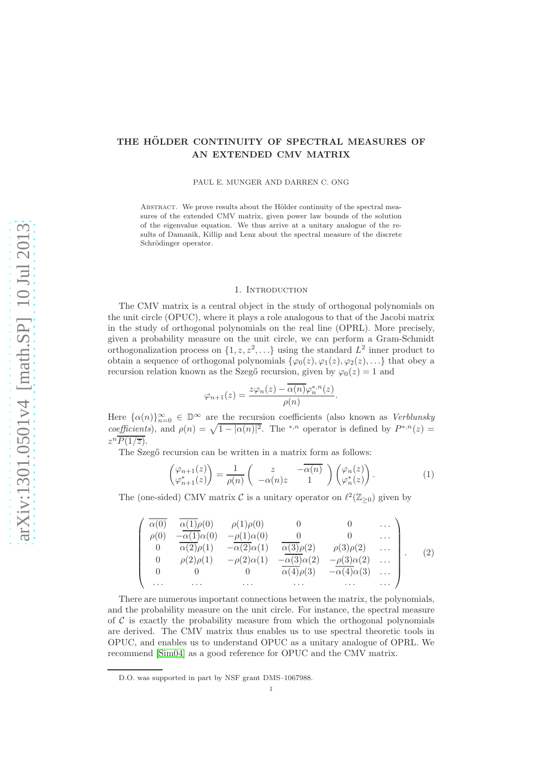# THE HÖLDER CONTINUITY OF SPECTRAL MEASURES OF AN EXTENDED CMV MATRIX

PAUL E. MUNGER AND DARREN C. ONG

ABSTRACT. We prove results about the Hölder continuity of the spectral measures of the extended CMV matrix, given power law bounds of the solution of the eigenvalue equation. We thus arrive at a unitary analogue of the results of Damanik, Killip and Lenz about the spectral measure of the discrete Schrödinger operator.

# 1. INTRODUCTION

The CMV matrix is a central object in the study of orthogonal polynomials on the unit circle (OPUC), where it plays a role analogous to that of the Jacobi matrix in the study of orthogonal polynomials on the real line (OPRL). More precisely, given a probability measure on the unit circle, we can perform a Gram-Schmidt orthogonalization process on  $\{1, z, z^2, \ldots\}$  using the standard  $L^2$  inner product to obtain a sequence of orthogonal polynomials  $\{\varphi_0(z), \varphi_1(z), \varphi_2(z), \ldots\}$  that obey a recursion relation known as the Szegő recursion, given by  $\varphi_0(z) = 1$  and

$$
\varphi_{n+1}(z) = \frac{z\varphi_n(z) - \overline{\alpha(n)}\varphi_n^{*,n}(z)}{\rho(n)}.
$$

Here  $\{\alpha(n)\}_{n=0}^{\infty} \in \mathbb{D}^{\infty}$  are the recursion coefficients (also known as *Verblunsky* coefficients), and  $\rho(n) = \sqrt{1 - |\alpha(n)|^2}$ . The <sup>\*</sup><sup>,n</sup> operator is defined by  $P^{*,n}(z) =$  $z^n\overline{P(1/\overline{z})}.$ 

The Szegő recursion can be written in a matrix form as follows:

$$
\begin{pmatrix} \varphi_{n+1}(z) \\ \varphi_{n+1}^*(z) \end{pmatrix} = \frac{1}{\rho(n)} \begin{pmatrix} z & -\overline{\alpha(n)} \\ -\alpha(n)z & 1 \end{pmatrix} \begin{pmatrix} \varphi_n(z) \\ \varphi_n^*(z) \end{pmatrix} . \tag{1}
$$

The (one-sided) CMV matrix  $\mathcal{C}$  is a unitary operator on  $\ell^2(\mathbb{Z}_{\geq 0})$  given by

<span id="page-0-0"></span>
$$
\begin{pmatrix}\n\overline{\alpha(0)} & \overline{\alpha(1)}\rho(0) & \rho(1)\rho(0) & 0 & 0 & \cdots \\
\rho(0) & -\overline{\alpha(1)}\alpha(0) & -\rho(1)\alpha(0) & 0 & 0 & \cdots \\
0 & \overline{\alpha(2)}\rho(1) & -\overline{\alpha(2)}\alpha(1) & \overline{\alpha(3)}\rho(2) & \rho(3)\rho(2) & \cdots \\
0 & \rho(2)\rho(1) & -\rho(2)\alpha(1) & -\overline{\alpha(3)}\alpha(2) & -\rho(3)\alpha(2) & \cdots \\
0 & 0 & 0 & \overline{\alpha(4)}\rho(3) & -\overline{\alpha(4)}\alpha(3) & \cdots \\
\cdots & \cdots & \cdots & \cdots & \cdots & \cdots\n\end{pmatrix}.
$$
\n(2)

There are numerous important connections between the matrix, the polynomials, and the probability measure on the unit circle. For instance, the spectral measure of  $\mathcal C$  is exactly the probability measure from which the orthogonal polynomials are derived. The CMV matrix thus enables us to use spectral theoretic tools in OPUC, and enables us to understand OPUC as a unitary analogue of OPRL. We recommend [\[Sim04\]](#page-7-0) as a good reference for OPUC and the CMV matrix.

D.O. was supported in part by NSF grant DMS–1067988.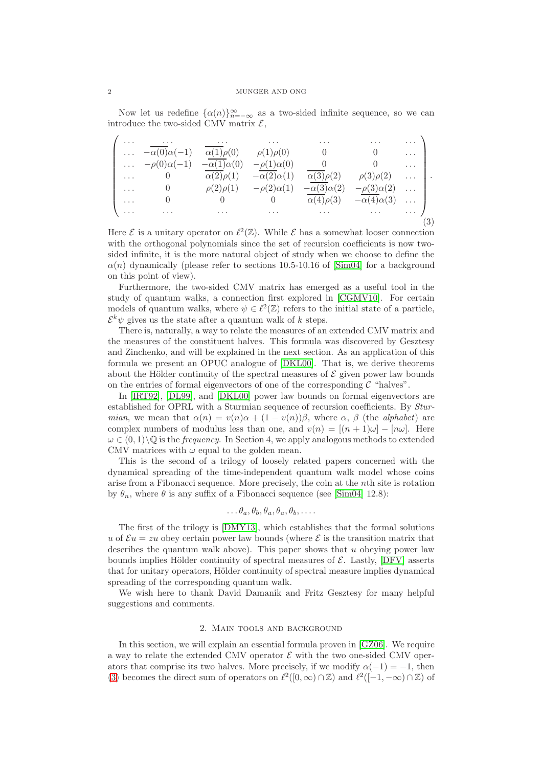Now let us redefine  $\{\alpha(n)\}_{n=-\infty}^{\infty}$  as a two-sided infinite sequence, so we can introduce the two-sided CMV matrix  $\mathcal{E}$ ,

<span id="page-1-0"></span>

| .                    | $\cdots$                         | $\cdots$              | $\cdots$              | $\cdots$              | $\cdots$              | $\mathbf{1}$ , $\mathbf{1}$ , $\mathbf{1}$ |                     |
|----------------------|----------------------------------|-----------------------|-----------------------|-----------------------|-----------------------|--------------------------------------------|---------------------|
| $\sim$ $\sim$ $\sim$ | $-\alpha(0)\alpha(-1)$           | $\alpha(1)\rho(0)$    | $\rho(1)\rho(0)$      |                       |                       | $\cdots$                                   |                     |
|                      | $\ldots$ $-\rho(0)\alpha(-1)$    | $-\alpha(1)\alpha(0)$ | $-\rho(1)\alpha(0)$   |                       |                       | . 1                                        |                     |
| $\ldots$ .           | $\begin{matrix}0\end{matrix}$    | $\alpha(2)\rho(1)$    | $-\alpha(2)\alpha(1)$ | $\alpha(3)\rho(2)$    | $\rho(3)\rho(2)$      | $\cdots$ .                                 |                     |
| $\cdots$             | $\begin{array}{c} 0 \end{array}$ | $\rho(2)\rho(1)$      | $-\rho(2)\alpha(1)$   | $-\alpha(3)\alpha(2)$ | $-\rho(3)\alpha(2)$   | . 1                                        |                     |
| $\ldots$             |                                  |                       |                       | $\alpha(4)\rho(3)$    | $-\alpha(4)\alpha(3)$ | . 1                                        |                     |
| $\cdots$             | $\cdots$                         | $\sim$ $\sim$ $\sim$  | $\cdots$              | $\cdots$              | $\sim$ $\sim$ $\sim$  | $\sim$ $\sim$ $\sim$                       |                     |
|                      |                                  |                       |                       |                       |                       |                                            | $\langle 3 \rangle$ |

Here  $\mathcal E$  is a unitary operator on  $\ell^2(\mathbb Z)$ . While  $\mathcal E$  has a somewhat looser connection with the orthogonal polynomials since the set of recursion coefficients is now twosided infinite, it is the more natural object of study when we choose to define the  $\alpha(n)$  dynamically (please refer to sections 10.5-10.16 of [\[Sim04\]](#page-7-0) for a background on this point of view).

Furthermore, the two-sided CMV matrix has emerged as a useful tool in the study of quantum walks, a connection first explored in [\[CGMV10\]](#page-7-1). For certain models of quantum walks, where  $\psi \in \ell^2(\mathbb{Z})$  refers to the initial state of a particle,  $\mathcal{E}^k \psi$  gives us the state after a quantum walk of k steps.

There is, naturally, a way to relate the measures of an extended CMV matrix and the measures of the constituent halves. This formula was discovered by Gesztesy and Zinchenko, and will be explained in the next section. As an application of this formula we present an OPUC analogue of [\[DKL00\]](#page-7-2). That is, we derive theorems about the Hölder continuity of the spectral measures of  $\mathcal E$  given power law bounds on the entries of formal eigenvectors of one of the corresponding  $\mathcal C$  "halves".

In [\[IRT92\]](#page-7-3), [\[DL99\]](#page-7-4), and [\[DKL00\]](#page-7-2) power law bounds on formal eigenvectors are established for OPRL with a Sturmian sequence of recursion coefficients. By Sturmian, we mean that  $\alpha(n) = v(n)\alpha + (1 - v(n))\beta$ , where  $\alpha$ ,  $\beta$  (the *alphabet*) are complex numbers of modulus less than one, and  $v(n) = [(n + 1)\omega] - [n\omega]$ . Here  $\omega \in (0,1) \setminus \mathbb{Q}$  is the *frequency*. In Section 4, we apply analogous methods to extended CMV matrices with  $\omega$  equal to the golden mean.

This is the second of a trilogy of loosely related papers concerned with the dynamical spreading of the time-independent quantum walk model whose coins arise from a Fibonacci sequence. More precisely, the coin at the nth site is rotation by  $\theta_n$ , where  $\theta$  is any suffix of a Fibonacci sequence (see [\[Sim04\]](#page-7-0) 12.8):

$$
\ldots \theta_a, \theta_b, \theta_a, \theta_a, \theta_b, \ldots
$$

The first of the trilogy is [\[DMY13\]](#page-7-5), which establishes that the formal solutions u of  $\mathcal{E}u = zu$  obey certain power law bounds (where  $\mathcal E$  is the transition matrix that describes the quantum walk above). This paper shows that  $u$  obeying power law bounds implies Hölder continuity of spectral measures of  $\mathcal{E}$ . Lastly, [\[DFV\]](#page-7-6) asserts that for unitary operators, Hölder continuity of spectral measure implies dynamical spreading of the corresponding quantum walk.

We wish here to thank David Damanik and Fritz Gesztesy for many helpful suggestions and comments.

## 2. Main tools and background

In this section, we will explain an essential formula proven in [\[GZ06\]](#page-7-7). We require a way to relate the extended CMV operator  $\mathcal E$  with the two one-sided CMV operators that comprise its two halves. More precisely, if we modify  $\alpha(-1) = -1$ , then [\(3\)](#page-1-0) becomes the direct sum of operators on  $\ell^2([0,\infty) \cap \mathbb{Z})$  and  $\ell^2([-1,-\infty) \cap \mathbb{Z})$  of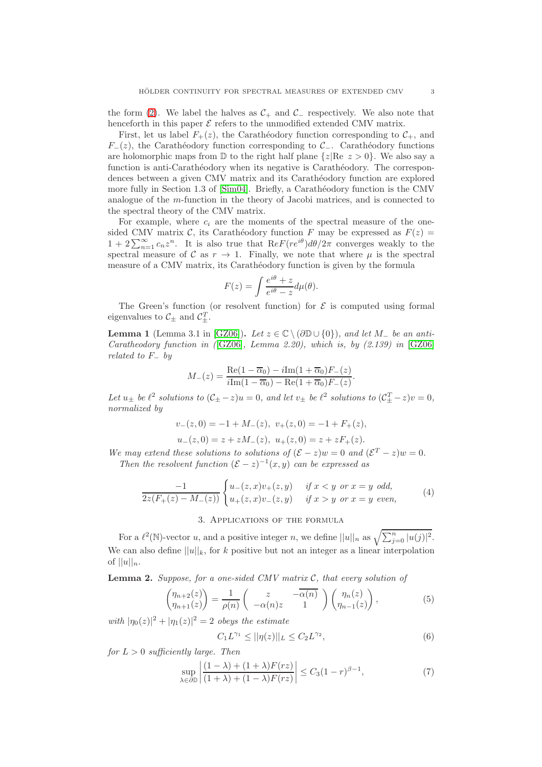the form [\(2\)](#page-0-0). We label the halves as  $C_+$  and  $C_-\$  respectively. We also note that henceforth in this paper  $\mathcal E$  refers to the unmodified extended CMV matrix.

First, let us label  $F_+(z)$ , the Carathéodory function corresponding to  $\mathcal{C}_+$ , and  $F_-(z)$ , the Carathéodory function corresponding to  $\mathcal{C}_$ are holomorphic maps from  $\mathbb D$  to the right half plane  $\{z| \text{Re } z > 0\}$ . We also say a function is anti-Carathéodory when its negative is Carathéodory. The correspondences between a given CMV matrix and its Carathéodory function are explored more fully in Section 1.3 of  $[\text{Sim04}]$ . Briefly, a Carathéodory function is the CMV analogue of the m-function in the theory of Jacobi matrices, and is connected to the spectral theory of the CMV matrix.

For example, where  $c_i$  are the moments of the spectral measure of the onesided CMV matrix C, its Carathéodory function F may be expressed as  $F(z) =$  $1 + 2\sum_{n=1}^{\infty} c_n z^n$ . It is also true that  $ReF(re^{i\theta})d\theta/2\pi$  converges weakly to the spectral measure of C as  $r \to 1$ . Finally, we note that where  $\mu$  is the spectral measure of a CMV matrix, its Carathéodory function is given by the formula

$$
F(z) = \int \frac{e^{i\theta} + z}{e^{i\theta} - z} d\mu(\theta).
$$

The Green's function (or resolvent function) for  $\mathcal E$  is computed using formal eigenvalues to  $\mathcal{C}_{\pm}$  and  $\mathcal{C}_{\pm}^{T}$ .

**Lemma 1** (Lemma 3.1 in [\[GZ06\]](#page-7-7)). Let  $z \in \mathbb{C} \setminus (\partial \mathbb{D} \cup \{0\})$ , and let  $M_{-}$  be an anti-Caratheodory function in ( $[GZ06]$ , Lemma 2.20), which is, by (2.139) in  $[GZ06]$ related to  $F_$  by

$$
M_{-}(z) = \frac{\operatorname{Re}(1 - \overline{\alpha}_0) - i \operatorname{Im}(1 + \overline{\alpha}_0) F_{-}(z)}{i \operatorname{Im}(1 - \overline{\alpha}_0) - \operatorname{Re}(1 + \overline{\alpha}_0) F_{-}(z)}.
$$

Let  $u_{\pm}$  be  $\ell^2$  solutions to  $(\mathcal{C}_{\pm} - z)u = 0$ , and let  $v_{\pm}$  be  $\ell^2$  solutions to  $(\mathcal{C}_{\pm}^T - z)v = 0$ , normalized by

$$
v_{-}(z,0) = -1 + M_{-}(z), v_{+}(z,0) = -1 + F_{+}(z),
$$
  

$$
u_{-}(z,0) = z + zM_{-}(z), u_{+}(z,0) = z + zF_{+}(z).
$$

We may extend these solutions to solutions of  $(\mathcal{E} - z)w = 0$  and  $(\mathcal{E}^T - z)w = 0$ . Then the resolvent function  $(\mathcal{E} - z)^{-1}(x, y)$  can be expressed as

<span id="page-2-3"></span>
$$
\frac{-1}{2z(F_{+}(z) - M_{-}(z))} \begin{cases} u_{-}(z,x)v_{+}(z,y) & \text{if } x < y \text{ or } x = y \text{ odd,} \\ u_{+}(z,x)v_{-}(z,y) & \text{if } x > y \text{ or } x = y \text{ even,} \end{cases}
$$
(4)

#### 3. Applications of the formula

For a  $\ell^2(\mathbb{N})$ -vector u, and a positive integer n, we define  $||u||_n$  as  $\sqrt{\sum_{j=0}^n |u(j)|^2}$ . We can also define  $||u||_k$ , for k positive but not an integer as a linear interpolation of  $||u||_n$ .

**Lemma 2.** Suppose, for a one-sided CMV matrix  $C$ , that every solution of

<span id="page-2-1"></span>
$$
\begin{pmatrix} \eta_{n+2}(z) \\ \eta_{n+1}(z) \end{pmatrix} = \frac{1}{\rho(n)} \begin{pmatrix} z & -\overline{\alpha(n)} \\ -\alpha(n)z & 1 \end{pmatrix} \begin{pmatrix} \eta_n(z) \\ \eta_{n-1}(z) \end{pmatrix},
$$
(5)

with  $|\eta_0(z)|^2 + |\eta_1(z)|^2 = 2$  obeys the estimate

<span id="page-2-0"></span>
$$
C_1 L^{\gamma_1} \le ||\eta(z)||_L \le C_2 L^{\gamma_2},\tag{6}
$$

for  $L > 0$  sufficiently large. Then

<span id="page-2-2"></span>
$$
\sup_{\lambda \in \partial \mathbb{D}} \left| \frac{(1-\lambda) + (1+\lambda)F(rz)}{(1+\lambda) + (1-\lambda)F(rz)} \right| \le C_3 (1-r)^{\beta - 1},\tag{7}
$$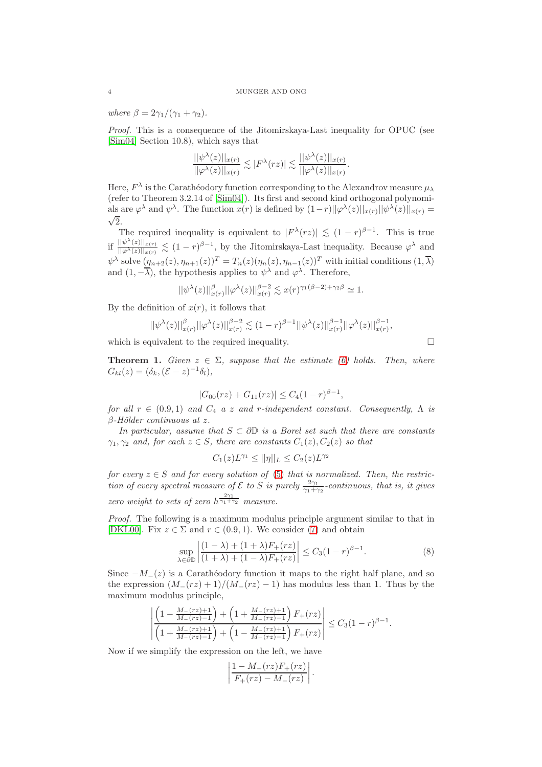where  $\beta = 2\gamma_1/(\gamma_1 + \gamma_2)$ .

Proof. This is a consequence of the Jitomirskaya-Last inequality for OPUC (see [\[Sim04\]](#page-7-0) Section 10.8), which says that

$$
\frac{||\psi^{\lambda}(z)||_{x(r)}}{||\varphi^{\lambda}(z)||_{x(r)}} \lesssim |F^{\lambda}(rz)| \lesssim \frac{||\psi^{\lambda}(z)||_{x(r)}}{||\varphi^{\lambda}(z)||_{x(r)}}.
$$

Here,  $F^{\lambda}$  is the Carathéodory function corresponding to the Alexandrov measure  $\mu_{\lambda}$ (refer to Theorem 3.2.14 of [\[Sim04\]](#page-7-0)). Its first and second kind orthogonal polynomials are  $\varphi^{\lambda}$  and  $\psi^{\lambda}$ . The function  $x(r)$  is defined by  $(1-r)||\varphi^{\lambda}(z)||_{x(r)}||\psi^{\lambda}(z)||_{x(r)} = \sqrt{2}$  $\sqrt{2}$ .

The required inequality is equivalent to  $|F^{\lambda}(rz)| \lesssim (1-r)^{\beta-1}$ . This is true if  $\frac{||\psi^{\lambda}(z)||_{x(r)}}{||\varphi^{\lambda}(z)||_{\infty}}$  $\frac{\|\psi''(z)\|_{x(r)}}{\|\varphi^{\lambda}(z)\|_{x(r)}} \lesssim (1-r)^{\beta-1}$ , by the Jitomirskaya-Last inequality. Because  $\varphi^{\lambda}$  and  $\psi^{\lambda}$  solve  $(\eta_{n+2}(z), \eta_{n+1}(z))^T = T_n(z)(\eta_n(z), \eta_{n-1}(z))^T$  with initial conditions  $(1, \overline{\lambda})$ and  $(1, -\overline{\lambda})$ , the hypothesis applies to  $\psi^{\lambda}$  and  $\varphi^{\lambda}$ . Therefore,

$$
||\psi^{\lambda}(z)||^{\beta}_{x(r)}||\varphi^{\lambda}(z)||^{\beta-2}_{x(r)} \lesssim x(r)^{\gamma_1(\beta-2)+\gamma_2\beta} \simeq 1.
$$

By the definition of  $x(r)$ , it follows that

$$
||\psi^{\lambda}(z)||_{x(r)}^{\beta}||\varphi^{\lambda}(z)||_{x(r)}^{\beta-2} \lesssim (1-r)^{\beta-1}||\psi^{\lambda}(z)||_{x(r)}^{\beta-1}||\varphi^{\lambda}(z)||_{x(r)}^{\beta-1},
$$

which is equivalent to the required inequality.  $\Box$ 

**Theorem 1.** Given  $z \in \Sigma$ , suppose that the estimate [\(6\)](#page-2-0) holds. Then, where  $G_{kl}(z) = (\delta_k, (\mathcal{E} - z)^{-1} \delta_l),$ 

$$
|G_{00}(rz) + G_{11}(rz)| \le C_4(1-r)^{\beta-1},
$$

for all  $r \in (0.9, 1)$  and  $C_4$  a z and r-independent constant. Consequently,  $\Lambda$  is  $\beta$ -Hölder continuous at z.

In particular, assume that  $S \subset \partial \mathbb{D}$  is a Borel set such that there are constants  $\gamma_1, \gamma_2$  and, for each  $z \in S$ , there are constants  $C_1(z), C_2(z)$  so that

$$
C_1(z)L^{\gamma_1} \le ||\eta||_L \le C_2(z)L^{\gamma_2}
$$

for every  $z \in S$  and for every solution of [\(5\)](#page-2-1) that is normalized. Then, the restriction of every spectral measure of  $\mathcal E$  to  $S$  is purely  $\frac{2\gamma_1}{\gamma_1+\gamma_2}$ -continuous, that is, it gives zero weight to sets of zero  $h^{\frac{2\gamma_1}{\gamma_1+\gamma_2}}$  measure.

Proof. The following is a maximum modulus principle argument similar to that in [\[DKL00\]](#page-7-2). Fix  $z \in \Sigma$  and  $r \in (0.9, 1)$ . We consider [\(7\)](#page-2-2) and obtain

$$
\sup_{\lambda \in \partial \mathbb{D}} \left| \frac{(1-\lambda) + (1+\lambda)F_+(rz)}{(1+\lambda) + (1-\lambda)F_+(rz)} \right| \le C_3 (1-r)^{\beta - 1}.
$$
\n(8)

Since  $-M_-(z)$  is a Carathéodory function it maps to the right half plane, and so the expression  $(M_-(rz) + 1)/(M_-(rz) - 1)$  has modulus less than 1. Thus by the maximum modulus principle,

$$
\left| \frac{\left(1 - \frac{M_-(rz)+1}{M_-(rz)-1}\right) + \left(1 + \frac{M_-(rz)+1}{M_-(rz)-1}\right)F_+(rz)}{\left(1 + \frac{M_-(rz)+1}{M_-(rz)-1}\right) + \left(1 - \frac{M_-(rz)+1}{M_-(rz)-1}\right)F_+(rz)} \right| \le C_3(1-r)^{\beta-1}.
$$

Now if we simplify the expression on the left, we have

$$
\left|\frac{1-M_{-}(rz)F_{+}(rz)}{F_{+}(rz)-M_{-}(rz)}\right|.
$$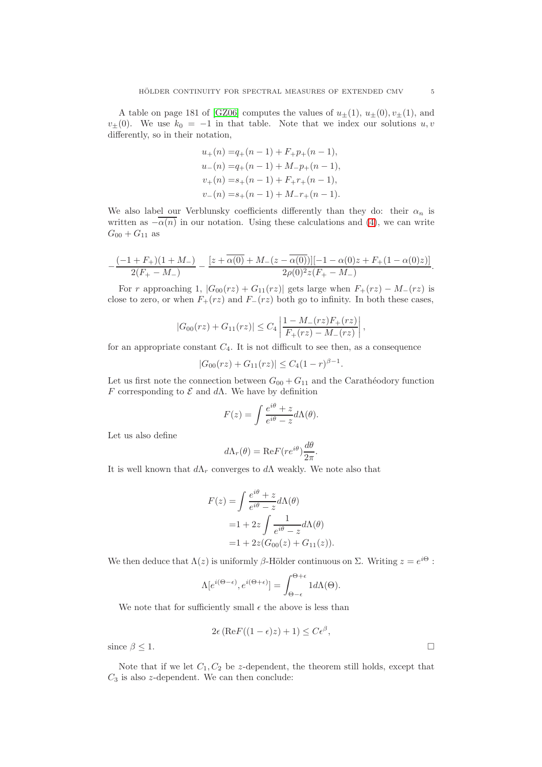A table on page 181 of [\[GZ06\]](#page-7-7) computes the values of  $u_{\pm}(1), u_{\pm}(0), v_{\pm}(1)$ , and  $v_{\pm}(0)$ . We use  $k_0 = -1$  in that table. Note that we index our solutions  $u, v$ differently, so in their notation,

$$
u_{+}(n) = q_{+}(n-1) + F_{+}p_{+}(n-1),
$$
  
\n
$$
u_{-}(n) = q_{+}(n-1) + M_{-}p_{+}(n-1),
$$
  
\n
$$
v_{+}(n) = s_{+}(n-1) + F_{+}r_{+}(n-1),
$$
  
\n
$$
v_{-}(n) = s_{+}(n-1) + M_{-}r_{+}(n-1).
$$

We also label our Verblunsky coefficients differently than they do: their  $\alpha_n$  is written as  $-\overline{\alpha(n)}$  in our notation. Using these calculations and [\(4\)](#page-2-3), we can write  $G_{00} + G_{11}$  as

$$
-\frac{(-1+F_+)(1+M_-)}{2(F_+-M_-)}-\frac{[z+\overline{\alpha(0)}+M_-(z-\overline{\alpha(0)})][-1-\alpha(0)z+F_+(1-\alpha(0)z)]}{2\rho(0)^2z(F_+-M_-)}.
$$

For r approaching 1,  $|G_{00}(rz) + G_{11}(rz)|$  gets large when  $F_+(rz) - M_-(rz)$  is close to zero, or when  $F_+(rz)$  and  $F_-(rz)$  both go to infinity. In both these cases,

$$
|G_{00}(rz) + G_{11}(rz)| \le C_4 \left| \frac{1 - M_-(rz)F_+(rz)}{F_+(rz) - M_-(rz)} \right|,
$$

for an appropriate constant  $C_4$ . It is not difficult to see then, as a consequence

$$
|G_{00}(rz) + G_{11}(rz)| \le C_4(1-r)^{\beta-1}.
$$

Let us first note the connection between  $G_{00} + G_{11}$  and the Carathéodory function F corresponding to  $\mathcal E$  and  $d\Lambda$ . We have by definition

$$
F(z) = \int \frac{e^{i\theta} + z}{e^{i\theta} - z} d\Lambda(\theta).
$$

Let us also define

$$
d\Lambda_r(\theta) = \text{Re}F(re^{i\theta})\frac{d\theta}{2\pi}.
$$

It is well known that  $d\Lambda_r$  converges to  $d\Lambda$  weakly. We note also that

$$
F(z) = \int \frac{e^{i\theta} + z}{e^{i\theta} - z} d\Lambda(\theta)
$$
  
= 1 + 2z \int \frac{1}{e^{i\theta} - z} d\Lambda(\theta)  
= 1 + 2z(G\_{00}(z) + G\_{11}(z)).

We then deduce that  $\Lambda(z)$  is uniformly  $\beta$ -Hölder continuous on  $\Sigma$ . Writing  $z = e^{i\Theta}$ :

$$
\Lambda[e^{i(\Theta-\epsilon)},e^{i(\Theta+\epsilon)}] = \int_{\Theta-\epsilon}^{\Theta+\epsilon} 1 d\Lambda(\Theta).
$$

We note that for sufficiently small  $\epsilon$  the above is less than

$$
2\epsilon \left( \text{Re} F((1-\epsilon)z) + 1 \right) \leq C\epsilon^{\beta},
$$

since  $\beta \leq 1$ .

Note that if we let  $C_1, C_2$  be z-dependent, the theorem still holds, except that  $C_3$  is also z-dependent. We can then conclude: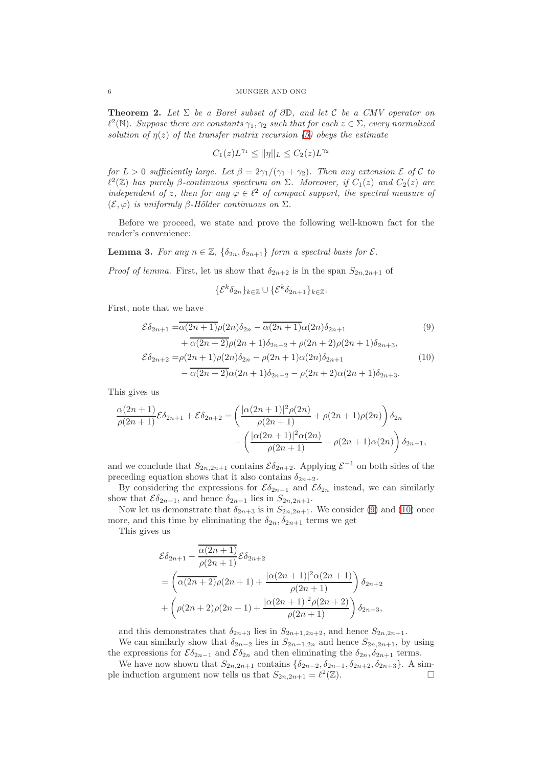## 6 MUNGER AND ONG

<span id="page-5-2"></span>**Theorem 2.** Let  $\Sigma$  be a Borel subset of  $\partial \mathbb{D}$ , and let  $\mathcal{C}$  be a CMV operator on  $\ell^2(\mathbb{N})$ . Suppose there are constants  $\gamma_1, \gamma_2$  such that for each  $z \in \Sigma$ , every normalized solution of  $\eta(z)$  of the transfer matrix recursion [\(5\)](#page-2-1) obeys the estimate

$$
C_1(z)L^{\gamma_1} \le ||\eta||_L \le C_2(z)L^{\gamma_2}
$$

for  $L > 0$  sufficiently large. Let  $\beta = 2\gamma_1/(\gamma_1 + \gamma_2)$ . Then any extension  $\mathcal E$  of  $\mathcal C$  to  $\ell^2(\mathbb{Z})$  has purely  $\beta$ -continuous spectrum on  $\Sigma$ . Moreover, if  $C_1(z)$  and  $C_2(z)$  are independent of z, then for any  $\varphi \in \ell^2$  of compact support, the spectral measure of  $(\mathcal{E}, \varphi)$  is uniformly β-Hölder continuous on  $\Sigma$ .

Before we proceed, we state and prove the following well-known fact for the reader's convenience:

**Lemma 3.** For any  $n \in \mathbb{Z}$ ,  $\{\delta_{2n}, \delta_{2n+1}\}\$  form a spectral basis for  $\mathcal{E}$ .

*Proof of lemma.* First, let us show that  $\delta_{2n+2}$  is in the span  $S_{2n,2n+1}$  of

<span id="page-5-1"></span><span id="page-5-0"></span>
$$
\{\mathcal{E}^k \delta_{2n}\}_{k \in \mathbb{Z}} \cup \{\mathcal{E}^k \delta_{2n+1}\}_{k \in \mathbb{Z}}.
$$

First, note that we have

$$
\mathcal{E}\delta_{2n+1} = \overline{\alpha(2n+1)}\rho(2n)\delta_{2n} - \overline{\alpha(2n+1)}\alpha(2n)\delta_{2n+1}
$$
(9)  
 
$$
+ \overline{\alpha(2n+2)}\rho(2n+1)\delta_{2n+2} + \rho(2n+2)\rho(2n+1)\delta_{2n+3},
$$
  
\n
$$
\mathcal{E}\delta_{2n+2} = \rho(2n+1)\rho(2n)\delta_{2n} - \rho(2n+1)\alpha(2n)\delta_{2n+1}
$$
(10)  
\n
$$
- \overline{\alpha(2n+2)}\alpha(2n+1)\delta_{2n+2} - \rho(2n+2)\alpha(2n+1)\delta_{2n+3}.
$$

This gives us

$$
\frac{\alpha(2n+1)}{\rho(2n+1)}\mathcal{E}\delta_{2n+1} + \mathcal{E}\delta_{2n+2} = \left(\frac{|\alpha(2n+1)|^2 \rho(2n)}{\rho(2n+1)} + \rho(2n+1)\rho(2n)\right)\delta_{2n} - \left(\frac{|\alpha(2n+1)|^2 \alpha(2n)}{\rho(2n+1)} + \rho(2n+1)\alpha(2n)\right)\delta_{2n+1},
$$

and we conclude that  $S_{2n,2n+1}$  contains  $\mathcal{E} \delta_{2n+2}$ . Applying  $\mathcal{E}^{-1}$  on both sides of the preceding equation shows that it also contains  $\delta_{2n+2}$ .

By considering the expressions for  $\mathcal{E}\delta_{2n-1}$  and  $\mathcal{E}\delta_{2n}$  instead, we can similarly show that  $\mathcal{E}\delta_{2n-1}$ , and hence  $\delta_{2n-1}$  lies in  $S_{2n,2n+1}$ .

Now let us demonstrate that  $\delta_{2n+3}$  is in  $S_{2n,2n+1}$ . We consider [\(9\)](#page-5-0) and [\(10\)](#page-5-1) once more, and this time by eliminating the  $\delta_{2n}, \delta_{2n+1}$  terms we get

This gives us

$$
\mathcal{E}\delta_{2n+1} - \frac{\overline{\alpha(2n+1)}}{\rho(2n+1)} \mathcal{E}\delta_{2n+2}
$$
  
=  $\left(\overline{\alpha(2n+2)}\rho(2n+1) + \frac{|\alpha(2n+1)|^2 \alpha(2n+1)}{\rho(2n+1)}\right) \delta_{2n+2}$   
+  $\left(\rho(2n+2)\rho(2n+1) + \frac{|\alpha(2n+1)|^2 \rho(2n+2)}{\rho(2n+1)}\right) \delta_{2n+3},$ 

and this demonstrates that  $\delta_{2n+3}$  lies in  $S_{2n+1,2n+2}$ , and hence  $S_{2n,2n+1}$ .

We can similarly show that  $\delta_{2n-2}$  lies in  $S_{2n-1,2n}$  and hence  $S_{2n,2n+1}$ , by using the expressions for  $\mathcal{E}\delta_{2n-1}$  and  $\mathcal{E}\delta_{2n}$  and then eliminating the  $\delta_{2n}, \delta_{2n+1}$  terms.

We have now shown that  $S_{2n,2n+1}$  contains  $\{\delta_{2n-2}, \delta_{2n-1}, \delta_{2n+2}, \delta_{2n+3}\}\$ . A sim-<br>pinduction argument now tells us that  $S_{2n,2n+1} = \ell^2(\mathbb{Z})$ ple induction argument now tells us that  $S_{2n,2n+1} = \ell^2(\mathbb{Z})$ .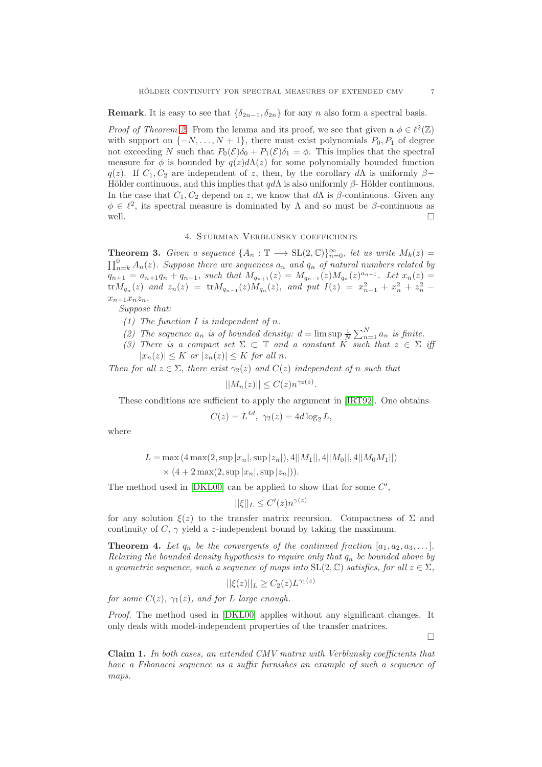**Remark**. It is easy to see that  $\{\delta_{2n-1}, \delta_{2n}\}\$  for any n also form a spectral basis.

*Proof of Theorem [2.](#page-5-2)* From the lemma and its proof, we see that given a  $\phi \in \ell^2(\mathbb{Z})$ with support on  $\{-N, \ldots, N+1\}$ , there must exist polynomials  $P_0, P_1$  of degree not exceeding N such that  $P_0(\mathcal{E})\delta_0 + P_1(\mathcal{E})\delta_1 = \phi$ . This implies that the spectral measure for  $\phi$  is bounded by  $q(z)d\Lambda(z)$  for some polynomially bounded function q(z). If  $C_1, C_2$  are independent of z, then, by the corollary dA is uniformly  $\beta$ − Hölder continuous, and this implies that  $q d\Lambda$  is also uniformly  $\beta$ - Hölder continuous. In the case that  $C_1, C_2$  depend on z, we know that d $\Lambda$  is  $\beta$ -continuous. Given any  $\phi \in \ell^2$ , its spectral measure is dominated by  $\Lambda$  and so must be  $\beta$ -continuous as well.

# 4. Sturmian Verblunsky coefficients

**Theorem 3.** Given a sequence  $\{A_n : \mathbb{T} \longrightarrow \mathrm{SL}(2,\mathbb{C})\}_{n=0}^{\infty}$ , let us write  $M_k(z) =$  $\prod_{n=k}^{0} A_n(z)$ . Suppose there are sequences  $a_n$  and  $q_n$  of natural numbers related by  $q_{n+1} = a_{n+1}q_n + q_{n-1}$ , such that  $M_{q_{n+1}}(z) = M_{q_{n-1}}(z)M_{q_n}(z)^{a_{n+1}}$ . Let  $x_n(z) =$  $\text{tr}M_{q_n}(z)$  and  $z_n(z) = \text{tr}M_{q_{n-1}}(z)M_{q_n}(z)$ , and put  $I(z) = x_{n-1}^2 + x_n^2 + z_n^2$  $x_{n-1}x_nz_n$ .

Suppose that:

- (1) The function  $I$  is independent of  $n$ .
- (2) The sequence  $a_n$  is of bounded density:  $d = \limsup \frac{1}{N} \sum_{n=1}^{N} a_n$  is finite.
- (3) There is a compact set  $\Sigma \subset \mathbb{T}$  and a constant K such that  $z \in \Sigma$  iff  $|x_n(z)| \leq K$  or  $|z_n(z)| \leq K$  for all n.

Then for all  $z \in \Sigma$ , there exist  $\gamma_2(z)$  and  $C(z)$  independent of n such that

$$
||M_n(z)|| \le C(z)n^{\gamma_2(z)}
$$

These conditions are sufficient to apply the argument in [\[IRT92\]](#page-7-3). One obtains

.

$$
C(z) = L^{4d}, \ \gamma_2(z) = 4d \log_2 L,
$$

where

$$
L = \max (4 \max(2, \sup |x_n|, \sup |z_n|), 4||M_1||, 4||M_0||, 4||M_0M_1||)
$$
  
  $\times (4 + 2 \max(2, \sup |x_n|, \sup |z_n|)).$ 

The method used in  $[DKL00]$  can be applied to show that for some  $C'$ ,

$$
||\xi||_L \le C'(z)n^{\gamma(z)}
$$

for any solution  $\xi(z)$  to the transfer matrix recursion. Compactness of  $\Sigma$  and continuity of  $C, \gamma$  yield a z-independent bound by taking the maximum.

**Theorem 4.** Let  $q_n$  be the convergents of the continued fraction  $[a_1, a_2, a_3, \ldots]$ . Relaxing the bounded density hypothesis to require only that  $q_n$  be bounded above by a geometric sequence, such a sequence of maps into  $SL(2,\mathbb{C})$  satisfies, for all  $z \in \Sigma$ .

$$
||\xi(z)||_L \geq C_2(z)L^{\gamma_1(z)}
$$

for some  $C(z)$ ,  $\gamma_1(z)$ , and for L large enough.

Proof. The method used in [\[DKL00\]](#page-7-2) applies without any significant changes. It only deals with model-independent properties of the transfer matrices.

 $\Box$ 

Claim 1. In both cases, an extended CMV matrix with Verblunsky coefficients that have a Fibonacci sequence as a suffix furnishes an example of such a sequence of maps.